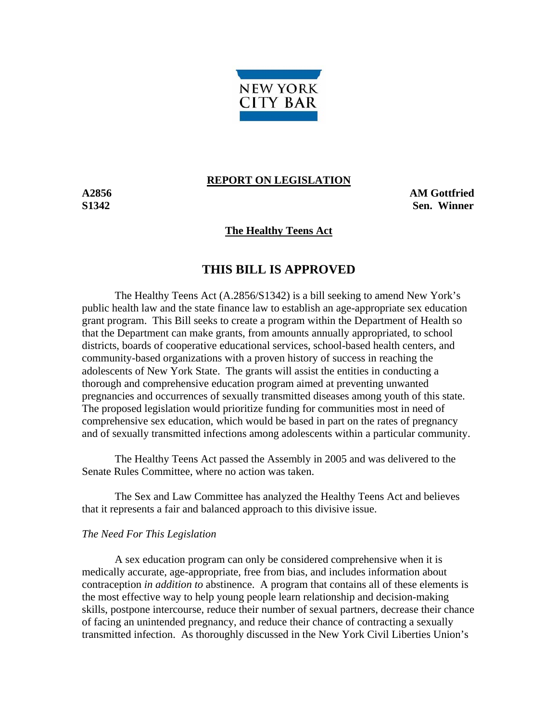

### **REPORT ON LEGISLATION**

**A2856 AM Gottfried S1342 Sen. Winner** 

## **The Healthy Teens Act**

# **THIS BILL IS APPROVED**

 The Healthy Teens Act (A.2856/S1342) is a bill seeking to amend New York's public health law and the state finance law to establish an age-appropriate sex education grant program. This Bill seeks to create a program within the Department of Health so that the Department can make grants, from amounts annually appropriated, to school districts, boards of cooperative educational services, school-based health centers, and community-based organizations with a proven history of success in reaching the adolescents of New York State. The grants will assist the entities in conducting a thorough and comprehensive education program aimed at preventing unwanted pregnancies and occurrences of sexually transmitted diseases among youth of this state. The proposed legislation would prioritize funding for communities most in need of comprehensive sex education, which would be based in part on the rates of pregnancy and of sexually transmitted infections among adolescents within a particular community.

 The Healthy Teens Act passed the Assembly in 2005 and was delivered to the Senate Rules Committee, where no action was taken.

 The Sex and Law Committee has analyzed the Healthy Teens Act and believes that it represents a fair and balanced approach to this divisive issue.

#### *The Need For This Legislation*

 A sex education program can only be considered comprehensive when it is medically accurate, age-appropriate, free from bias, and includes information about contraception *in addition to* abstinence. A program that contains all of these elements is the most effective way to help young people learn relationship and decision-making skills, postpone intercourse, reduce their number of sexual partners, decrease their chance of facing an unintended pregnancy, and reduce their chance of contracting a sexually transmitted infection. As thoroughly discussed in the New York Civil Liberties Union's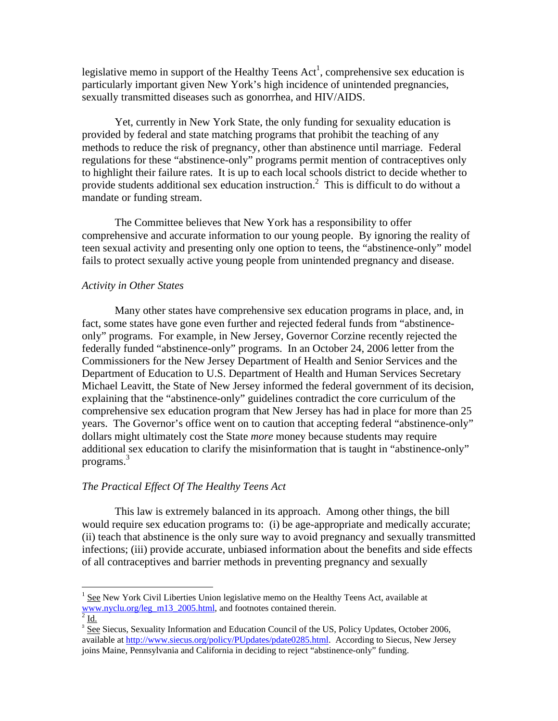legislative memo in support of the Healthy Teens  $Act<sup>1</sup>$ , comprehensive sex education is particularly important given New York's high incidence of unintended pregnancies, sexually transmitted diseases such as gonorrhea, and HIV/AIDS.

 Yet, currently in New York State, the only funding for sexuality education is provided by federal and state matching programs that prohibit the teaching of any methods to reduce the risk of pregnancy, other than abstinence until marriage. Federal regulations for these "abstinence-only" programs permit mention of contraceptives only to highlight their failure rates. It is up to each local schools district to decide whether to provide students additional sex education instruction.<sup>2</sup> This is difficult to do without a mandate or funding stream.

 The Committee believes that New York has a responsibility to offer comprehensive and accurate information to our young people. By ignoring the reality of teen sexual activity and presenting only one option to teens, the "abstinence-only" model fails to protect sexually active young people from unintended pregnancy and disease.

## *Activity in Other States*

 $\overline{a}$ 

 Many other states have comprehensive sex education programs in place, and, in fact, some states have gone even further and rejected federal funds from "abstinenceonly" programs. For example, in New Jersey, Governor Corzine recently rejected the federally funded "abstinence-only" programs. In an October 24, 2006 letter from the Commissioners for the New Jersey Department of Health and Senior Services and the Department of Education to U.S. Department of Health and Human Services Secretary Michael Leavitt, the State of New Jersey informed the federal government of its decision, explaining that the "abstinence-only" guidelines contradict the core curriculum of the comprehensive sex education program that New Jersey has had in place for more than 25 years. The Governor's office went on to caution that accepting federal "abstinence-only" dollars might ultimately cost the State *more* money because students may require additional sex education to clarify the misinformation that is taught in "abstinence-only" programs.<sup>3</sup>

## *The Practical Effect Of The Healthy Teens Act*

 This law is extremely balanced in its approach. Among other things, the bill would require sex education programs to: (i) be age-appropriate and medically accurate; (ii) teach that abstinence is the only sure way to avoid pregnancy and sexually transmitted infections; (iii) provide accurate, unbiased information about the benefits and side effects of all contraceptives and barrier methods in preventing pregnancy and sexually

<sup>&</sup>lt;sup>1</sup> See New York Civil Liberties Union legislative memo on the Healthy Teens Act, available at www.nyclu.org/leg\_m13\_2005.html, and footnotes contained therein.  $2 \underline{\text{Id}}$ .

<sup>&</sup>lt;sup>3</sup> See Siecus, Sexuality Information and Education Council of the US, Policy Updates, October 2006, available at http://www.siecus.org/policy/PUpdates/pdate0285.html. According to Siecus, New Jersey joins Maine, Pennsylvania and California in deciding to reject "abstinence-only" funding.